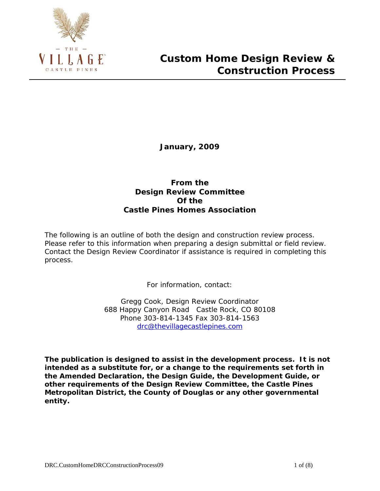

**January, 2009**

## **From the Design Review Committee Of the Castle Pines Homes Association**

The following is an outline of both the design and construction review process. Please refer to this information when preparing a design submittal or field review. Contact the Design Review Coordinator if assistance is required in completing this process.

For information, contact:

Gregg Cook, Design Review Coordinator 688 Happy Canyon Road Castle Rock, CO 80108 Phone 303-814-1345 Fax 303-814-1563 [drc@thevillagecastlepines.com](mailto:drc@thevillagecastlepines.com)

**The publication is designed to assist in the development process. It is not intended as a substitute for, or a change to the requirements set forth in the Amended Declaration, the Design Guide, the Development Guide, or other requirements of the Design Review Committee, the Castle Pines Metropolitan District, the County of Douglas or any other governmental entity.**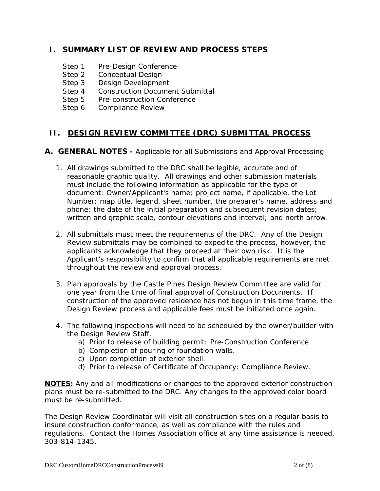## **I. SUMMARY LIST OF REVIEW AND PROCESS STEPS**

- Step 1 Pre-Design Conference
- Step 2 Conceptual Design
- Step 3 Design Development
- Step 4 Construction Document Submittal
- Step 5 Pre-construction Conference
- Step 6 Compliance Review

## **II. DESIGN REVIEW COMMITTEE (DRC) SUBMITTAL PROCESS**

## **A. GENERAL NOTES -** Applicable for all Submissions and Approval Processing

- 1. All drawings submitted to the DRC shall be legible, accurate and of reasonable graphic quality. All drawings and other submission materials must include the following information as applicable for the type of document: Owner/Applicant's name; project name, if applicable, the Lot Number; map title, legend, sheet number, the preparer's name, address and phone; the date of the initial preparation and subsequent revision dates; written and graphic scale, contour elevations and interval; and north arrow.
- 2. All submittals must meet the requirements of the DRC. Any of the Design Review submittals may be combined to expedite the process, however, the applicants acknowledge that they proceed at their own risk. It is the Applicant's responsibility to confirm that all applicable requirements are met throughout the review and approval process.
- 3. Plan approvals by the Castle Pines Design Review Committee are valid for one year from the time of final approval of Construction Documents. If construction of the approved residence has not begun in this time frame, the Design Review process and applicable fees must be initiated once again.
- 4. The following inspections will need to be scheduled by the owner/builder with the Design Review Staff.
	- a) Prior to release of building permit: Pre-Construction Conference
	- b) Completion of pouring of foundation walls.
	- c) Upon completion of exterior shell.
	- d) Prior to release of Certificate of Occupancy: Compliance Review.

*NOTES: Any and all modifications or changes to the approved exterior construction plans must be re-submitted to the DRC. Any changes to the approved color board must be re-submitted.*

*The Design Review Coordinator will visit all construction sites on a regular basis to insure construction conformance, as well as compliance with the rules and regulations. Contact the Homes Association office at any time assistance is needed, 303-814-1345.*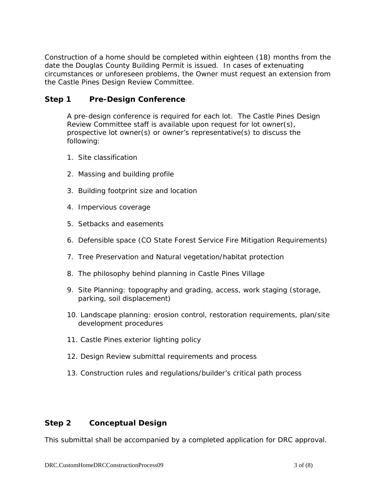Construction of a home should be completed within eighteen (18) months from the date the Douglas County Building Permit is issued. In cases of extenuating circumstances or unforeseen problems, the Owner must request an extension from the Castle Pines Design Review Committee.

## **Step 1 Pre-Design Conference**

A pre-design conference is required for each lot. The Castle Pines Design Review Committee staff is available upon request for lot owner(s), prospective lot owner(s) or owner's representative(s) to discuss the following:

- 1. Site classification
- 2. Massing and building profile
- 3. Building footprint size and location
- 4. Impervious coverage
- 5. Setbacks and easements
- 6. Defensible space (CO State Forest Service Fire Mitigation Requirements)
- 7. Tree Preservation and Natural vegetation/habitat protection
- 8. The philosophy behind planning in Castle Pines Village
- 9. Site Planning: topography and grading, access, work staging (storage, parking, soil displacement)
- 10. Landscape planning: erosion control, restoration requirements, plan/site development procedures
- 11. Castle Pines exterior lighting policy
- 12. Design Review submittal requirements and process
- 13. Construction rules and regulations/builder's critical path process

## **Step 2 Conceptual Design**

This submittal shall be accompanied by a completed application for DRC approval.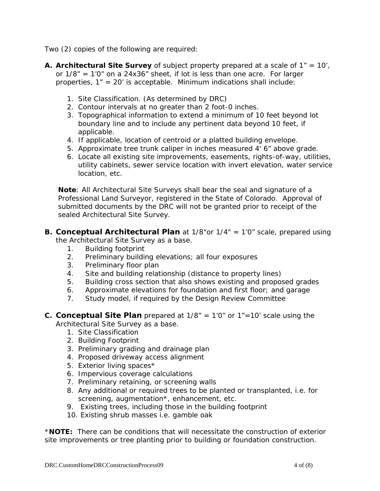Two (2) copies of the following are required:

- **A. Architectural Site Survey** of subject property prepared at a scale of 1" = 10', or 1/8" = 1'0" on a 24x36" sheet, if lot is less than one acre. For larger properties, 1" = 20' is acceptable. Minimum indications shall include:
	- 1. Site Classification. (As determined by DRC)
	- 2. Contour intervals at no greater than 2 foot-0 inches.
	- 3. Topographical information to extend a minimum of 10 feet beyond lot boundary line and to include any pertinent data beyond 10 feet, if applicable.
	- 4. If applicable, location of centroid or a platted building envelope.
	- 5. Approximate tree trunk caliper in inches measured 4' 6" above grade.
	- 6. Locate all existing site improvements, easements, rights-of-way, utilities, utility cabinets, sewer service location with invert elevation, water service location, etc.

*Note: All Architectural Site Surveys shall bear the seal and signature of a Professional Land Surveyor, registered in the State of Colorado. Approval of submitted documents by the DRC will not be granted prior to receipt of the sealed Architectural Site Survey.*

- **B. Conceptual Architectural Plan** at 1/8"or 1/4" = 1'0" scale, prepared using the Architectural Site Survey as a base.
	- 1. Building footprint
	- 2. Preliminary building elevations; all four exposures
	- 3. Preliminary floor plan
	- 4. Site and building relationship (distance to property lines)
	- 5. Building cross section that also shows existing and proposed grades
	- 6. Approximate elevations for foundation and first floor; and garage
	- 7. Study model, if required by the Design Review Committee
- **C. Conceptual Site Plan** prepared at 1/8" = 1'0" or 1"=10' scale using the Architectural Site Survey as a base.
	- 1. Site Classification
	- 2. Building Footprint
	- 3. Preliminary grading and drainage plan
	- 4. Proposed driveway access alignment
	- 5. Exterior living spaces\*
	- 6. Impervious coverage calculations
	- 7. Preliminary retaining, or screening walls
	- 8. Any additional or required trees to be planted or transplanted, i.e. for screening, augmentation<sup>\*</sup>, enhancement, etc.
	- 9. Existing trees, including those in the building footprint
	- 10. Existing shrub masses i.e. gamble oak

*\*NOTE: There can be conditions that will necessitate the construction of exterior site improvements or tree planting prior to building or foundation construction.*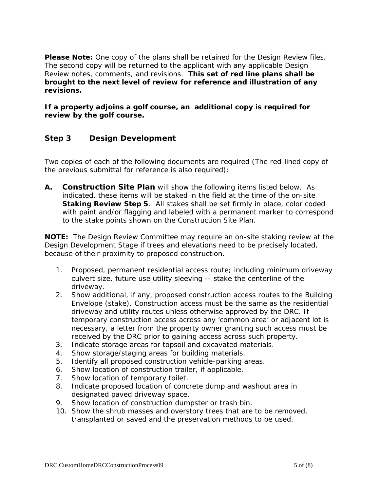**Please Note:** One copy of the plans shall be retained for the Design Review files. The second copy will be returned to the applicant with any applicable Design Review notes, comments, and revisions. **This set of red line plans shall be brought to the next level of review for reference and illustration of any revisions.** 

**If a property adjoins a golf course, an additional copy is required for review by the golf course.**

## **Step 3 Design Development**

Two copies of each of the following documents are required (The red-lined copy of the previous submittal for reference is also required):

**A. Construction Site Plan** will show the following items listed below. As indicated, these items will be staked in the field at the time of the on-site **Staking Review Step 5**. All stakes shall be set firmly in place, color coded with paint and/or flagging and labeled with a permanent marker to correspond to the stake points shown on the Construction Site Plan.

*NOTE: The Design Review Committee may require an on-site staking review at the Design Development Stage if trees and elevations need to be precisely located, because of their proximity to proposed construction.*

- 1. Proposed, permanent residential access route; including minimum driveway culvert size, future use utility sleeving -- stake the centerline of the driveway.
- 2. Show additional, if any, proposed construction access routes to the Building Envelope (stake). Construction access must be the same as the residential driveway and utility routes unless otherwise approved by the DRC. If temporary construction access across any 'common area' or adjacent lot is necessary, a letter from the property owner granting such access must be received by the DRC prior to gaining access across such property.
- 3. Indicate storage areas for topsoil and excavated materials.
- 4. Show storage/staging areas for building materials.
- 5. Identify all proposed construction vehicle-parking areas.
- 6. Show location of construction trailer, if applicable.
- 7. Show location of temporary toilet.
- 8. Indicate proposed location of concrete dump and washout area in designated paved driveway space.
- 9. Show location of construction dumpster or trash bin.
- 10. Show the shrub masses and overstory trees that are to be removed, transplanted or saved and the preservation methods to be used.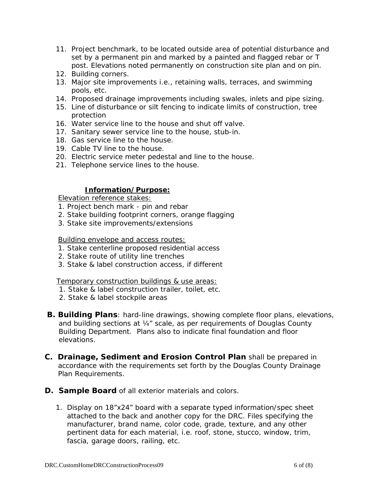- 11. Project benchmark, to be located outside area of potential disturbance and set by a permanent pin and marked by a painted and flagged rebar or T post. Elevations noted permanently on construction site plan and on pin.
- 12. Building corners.
- 13. Major site improvements i.e., retaining walls, terraces, and swimming pools, etc.
- 14. Proposed drainage improvements including swales, inlets and pipe sizing.
- 15. Line of disturbance or silt fencing to indicate limits of construction, tree protection
- 16. Water service line to the house and shut off valve.
- 17. Sanitary sewer service line to the house, stub-in.
- 18. Gas service line to the house.
- 19. Cable TV line to the house.
- 20. Electric service meter pedestal and line to the house.
- 21. Telephone service lines to the house.

#### **Information/Purpose:**

Elevation reference stakes:

- 1. Project bench mark pin and rebar
- 2. Stake building footprint corners, orange flagging
- 3. Stake site improvements/extensions

#### Building envelope and access routes:

- 1. Stake centerline proposed residential access
- 2. Stake route of utility line trenches
- 3. Stake & label construction access, if different

Temporary construction buildings & use areas:

- 1. Stake & label construction trailer, toilet, etc.
- 2. Stake & label stockpile areas
- **B. Building Plans**: hard-line drawings, showing complete floor plans, elevations, and building sections at ¼" scale, as per requirements of Douglas County Building Department. Plans also to indicate final foundation and floor elevations.
- **C. Drainage, Sediment and Erosion Control Plan** shall be prepared in accordance with the requirements set forth by the Douglas County Drainage Plan Requirements.
- **D. Sample Board** of all exterior materials and colors.
	- 1. Display on 18"x24" board with a separate typed information/spec sheet attached to the back and another copy for the DRC. Files specifying the manufacturer, brand name, color code, grade, texture, and any other pertinent data for each material, i.e. roof, stone, stucco, window, trim, fascia, garage doors, railing, etc.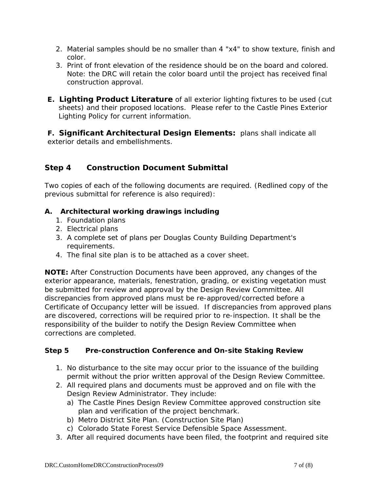- 2. Material samples should be no smaller than 4 "x4" to show texture, finish and color.
- 3. Print of front elevation of the residence should be on the board and colored. Note: the DRC will retain the color board until the project has received final construction approval.
- **E. Lighting Product Literature** of all exterior lighting fixtures to be used (cut sheets) and their proposed locations. Please refer to the Castle Pines Exterior Lighting Policy for current information.

**F. Significant Architectural Design Elements:** plans shall indicate all exterior details and embellishments.

# **Step 4 Construction Document Submittal**

Two copies of each of the following documents are required. (Redlined copy of the previous submittal for reference is also required):

## **A. Architectural working drawings including**

- 1. Foundation plans
- 2. Electrical plans
- 3. A complete set of plans per Douglas County Building Department's requirements.
- 4. The final site plan is to be attached as a cover sheet.

**NOTE:** After Construction Documents have been approved, any changes of the exterior appearance, materials, fenestration, grading, or existing vegetation must be submitted for review and approval by the Design Review Committee. All discrepancies from approved plans must be re-approved/corrected before a Certificate of Occupancy letter will be issued. If discrepancies from approved plans are discovered, corrections will be required prior to re-inspection. It shall be the responsibility of the builder to notify the Design Review Committee when corrections are completed.

## **Step 5 Pre-construction Conference and On-site Staking Review**

- 1. No disturbance to the site may occur prior to the issuance of the building permit without the prior written approval of the Design Review Committee.
- 2. All required plans and documents must be approved and on file with the Design Review Administrator. They include:
	- a) The Castle Pines Design Review Committee approved construction site plan and verification of the project benchmark.
	- b) Metro District Site Plan. (Construction Site Plan)
	- c) Colorado State Forest Service Defensible Space Assessment.
- 3. After all required documents have been filed, the footprint and required site